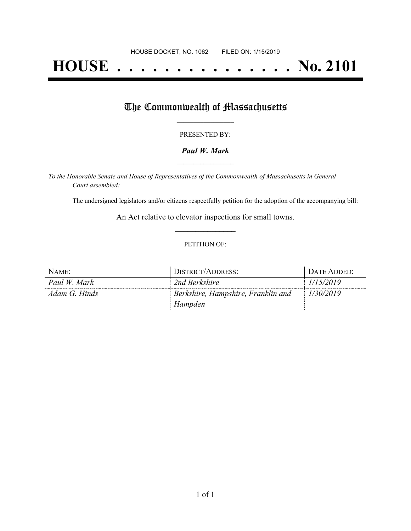# **HOUSE . . . . . . . . . . . . . . . No. 2101**

## The Commonwealth of Massachusetts

#### PRESENTED BY:

#### *Paul W. Mark* **\_\_\_\_\_\_\_\_\_\_\_\_\_\_\_\_\_**

*To the Honorable Senate and House of Representatives of the Commonwealth of Massachusetts in General Court assembled:*

The undersigned legislators and/or citizens respectfully petition for the adoption of the accompanying bill:

An Act relative to elevator inspections for small towns. **\_\_\_\_\_\_\_\_\_\_\_\_\_\_\_**

#### PETITION OF:

| NAME:         | DISTRICT/ADDRESS:                  | DATE ADDED: |
|---------------|------------------------------------|-------------|
| Paul W. Mark  | 2nd Berkshire                      | 1/15/2019   |
| Adam G. Hinds | Berkshire, Hampshire, Franklin and | 1/30/2019   |
|               | Hampden                            |             |